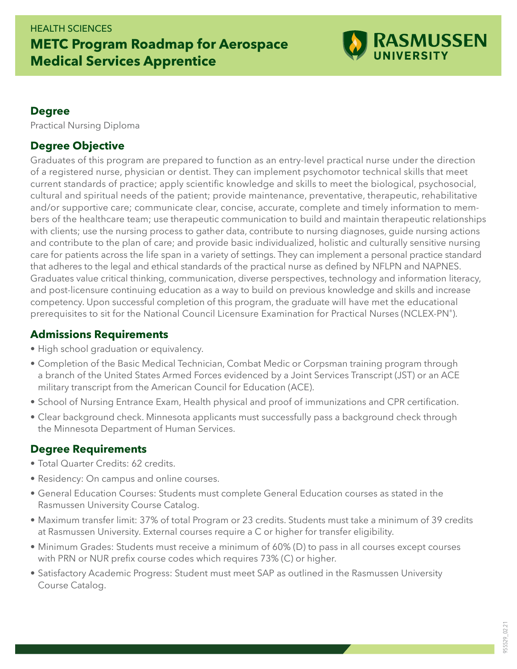## HEALTH SCIENCES **METC Program Roadmap for Aerospace Medical Services Apprentice**



#### **Degree**

Practical Nursing Diploma

### **Degree Objective**

Graduates of this program are prepared to function as an entry-level practical nurse under the direction of a registered nurse, physician or dentist. They can implement psychomotor technical skills that meet current standards of practice; apply scientific knowledge and skills to meet the biological, psychosocial, cultural and spiritual needs of the patient; provide maintenance, preventative, therapeutic, rehabilitative and/or supportive care; communicate clear, concise, accurate, complete and timely information to members of the healthcare team; use therapeutic communication to build and maintain therapeutic relationships with clients; use the nursing process to gather data, contribute to nursing diagnoses, guide nursing actions and contribute to the plan of care; and provide basic individualized, holistic and culturally sensitive nursing care for patients across the life span in a variety of settings. They can implement a personal practice standard that adheres to the legal and ethical standards of the practical nurse as defined by NFLPN and NAPNES. Graduates value critical thinking, communication, diverse perspectives, technology and information literacy, and post-licensure continuing education as a way to build on previous knowledge and skills and increase competency. Upon successful completion of this program, the graduate will have met the educational prerequisites to sit for the National Council Licensure Examination for Practical Nurses (NCLEX-PN®).

#### **Admissions Requirements**

- High school graduation or equivalency.
- Completion of the Basic Medical Technician, Combat Medic or Corpsman training program through a branch of the United States Armed Forces evidenced by a Joint Services Transcript (JST) or an ACE military transcript from the American Council for Education (ACE).
- School of Nursing Entrance Exam, Health physical and proof of immunizations and CPR certification.
- Clear background check. Minnesota applicants must successfully pass a background check through the Minnesota Department of Human Services.

#### **Degree Requirements**

- Total Quarter Credits: 62 credits.
- Residency: On campus and online courses.
- General Education Courses: Students must complete General Education courses as stated in the Rasmussen University Course Catalog.
- Maximum transfer limit: 37% of total Program or 23 credits. Students must take a minimum of 39 credits at Rasmussen University. External courses require a C or higher for transfer eligibility.
- Minimum Grades: Students must receive a minimum of 60% (D) to pass in all courses except courses with PRN or NUR prefix course codes which requires 73% (C) or higher.
- Satisfactory Academic Progress: Student must meet SAP as outlined in the Rasmussen University Course Catalog.